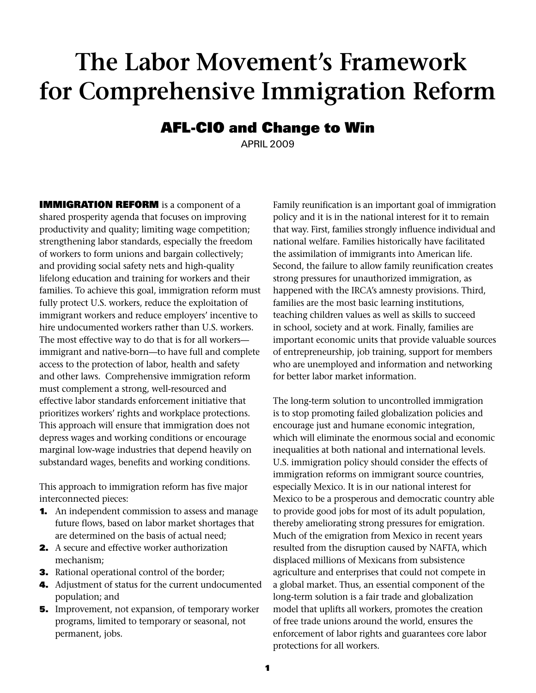# **The Labor Movement's Framework for Comprehensive Immigration Reform**

# **AFL-CIO and Change to Win**

APRIL 2009

**IMMIGRATION REFORM** is a component of a shared prosperity agenda that focuses on improving productivity and quality; limiting wage competition; strengthening labor standards, especially the freedom of workers to form unions and bargain collectively; and providing social safety nets and high-quality lifelong education and training for workers and their families. To achieve this goal, immigration reform must fully protect U.S. workers, reduce the exploitation of immigrant workers and reduce employers' incentive to hire undocumented workers rather than U.S. workers. The most effective way to do that is for all workers immigrant and native-born—to have full and complete access to the protection of labor, health and safety and other laws. Comprehensive immigration reform must complement a strong, well-resourced and effective labor standards enforcement initiative that prioritizes workers' rights and workplace protections. This approach will ensure that immigration does not depress wages and working conditions or encourage marginal low-wage industries that depend heavily on substandard wages, benefits and working conditions.

This approach to immigration reform has five major interconnected pieces:

- **1.** An independent commission to assess and manage future flows, based on labor market shortages that are determined on the basis of actual need;
- **2.** A secure and effective worker authorization mechanism;
- **3.** Rational operational control of the border;
- 4. Adjustment of status for the current undocumented population; and
- **5.** Improvement, not expansion, of temporary worker programs, limited to temporary or seasonal, not permanent, jobs.

Family reunification is an important goal of immigration policy and it is in the national interest for it to remain that way. First, families strongly influence individual and national welfare. Families historically have facilitated the assimilation of immigrants into American life. Second, the failure to allow family reunification creates strong pressures for unauthorized immigration, as happened with the IRCA's amnesty provisions. Third, families are the most basic learning institutions, teaching children values as well as skills to succeed in school, society and at work. Finally, families are important economic units that provide valuable sources of entrepreneurship, job training, support for members who are unemployed and information and networking for better labor market information.

The long-term solution to uncontrolled immigration is to stop promoting failed globalization policies and encourage just and humane economic integration, which will eliminate the enormous social and economic inequalities at both national and international levels. U.S. immigration policy should consider the effects of immigration reforms on immigrant source countries, especially Mexico. It is in our national interest for Mexico to be a prosperous and democratic country able to provide good jobs for most of its adult population, thereby ameliorating strong pressures for emigration. Much of the emigration from Mexico in recent years resulted from the disruption caused by NAFTA, which displaced millions of Mexicans from subsistence agriculture and enterprises that could not compete in a global market. Thus, an essential component of the long-term solution is a fair trade and globalization model that uplifts all workers, promotes the creation of free trade unions around the world, ensures the enforcement of labor rights and guarantees core labor protections for all workers.